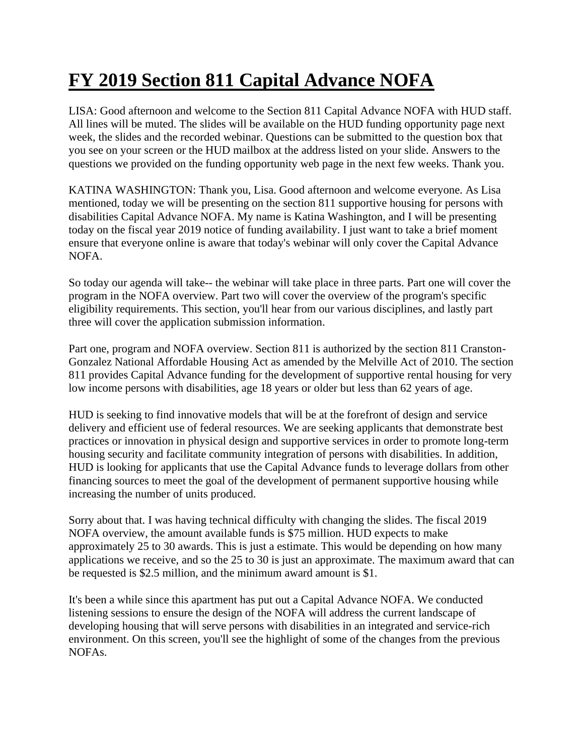## **FY 2019 Section 811 Capital Advance NOFA**

LISA: Good afternoon and welcome to the Section 811 Capital Advance NOFA with HUD staff. All lines will be muted. The slides will be available on the HUD funding opportunity page next week, the slides and the recorded webinar. Questions can be submitted to the question box that you see on your screen or the HUD mailbox at the address listed on your slide. Answers to the questions we provided on the funding opportunity web page in the next few weeks. Thank you.

KATINA WASHINGTON: Thank you, Lisa. Good afternoon and welcome everyone. As Lisa mentioned, today we will be presenting on the section 811 supportive housing for persons with disabilities Capital Advance NOFA. My name is Katina Washington, and I will be presenting today on the fiscal year 2019 notice of funding availability. I just want to take a brief moment ensure that everyone online is aware that today's webinar will only cover the Capital Advance NOFA.

So today our agenda will take-- the webinar will take place in three parts. Part one will cover the program in the NOFA overview. Part two will cover the overview of the program's specific eligibility requirements. This section, you'll hear from our various disciplines, and lastly part three will cover the application submission information.

Part one, program and NOFA overview. Section 811 is authorized by the section 811 Cranston-Gonzalez National Affordable Housing Act as amended by the Melville Act of 2010. The section 811 provides Capital Advance funding for the development of supportive rental housing for very low income persons with disabilities, age 18 years or older but less than 62 years of age.

HUD is seeking to find innovative models that will be at the forefront of design and service delivery and efficient use of federal resources. We are seeking applicants that demonstrate best practices or innovation in physical design and supportive services in order to promote long-term housing security and facilitate community integration of persons with disabilities. In addition, HUD is looking for applicants that use the Capital Advance funds to leverage dollars from other financing sources to meet the goal of the development of permanent supportive housing while increasing the number of units produced.

Sorry about that. I was having technical difficulty with changing the slides. The fiscal 2019 NOFA overview, the amount available funds is \$75 million. HUD expects to make approximately 25 to 30 awards. This is just a estimate. This would be depending on how many applications we receive, and so the 25 to 30 is just an approximate. The maximum award that can be requested is \$2.5 million, and the minimum award amount is \$1.

It's been a while since this apartment has put out a Capital Advance NOFA. We conducted listening sessions to ensure the design of the NOFA will address the current landscape of developing housing that will serve persons with disabilities in an integrated and service-rich environment. On this screen, you'll see the highlight of some of the changes from the previous NOFAs.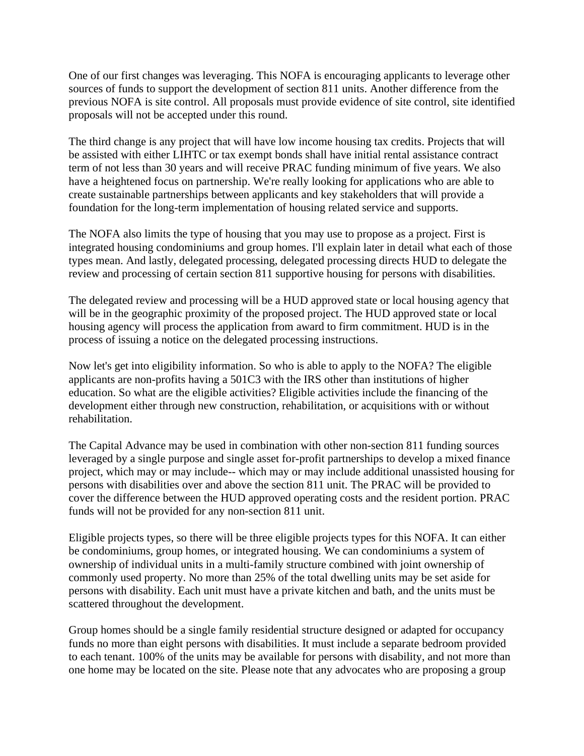One of our first changes was leveraging. This NOFA is encouraging applicants to leverage other sources of funds to support the development of section 811 units. Another difference from the previous NOFA is site control. All proposals must provide evidence of site control, site identified proposals will not be accepted under this round.

The third change is any project that will have low income housing tax credits. Projects that will be assisted with either LIHTC or tax exempt bonds shall have initial rental assistance contract term of not less than 30 years and will receive PRAC funding minimum of five years. We also have a heightened focus on partnership. We're really looking for applications who are able to create sustainable partnerships between applicants and key stakeholders that will provide a foundation for the long-term implementation of housing related service and supports.

The NOFA also limits the type of housing that you may use to propose as a project. First is integrated housing condominiums and group homes. I'll explain later in detail what each of those types mean. And lastly, delegated processing, delegated processing directs HUD to delegate the review and processing of certain section 811 supportive housing for persons with disabilities.

The delegated review and processing will be a HUD approved state or local housing agency that will be in the geographic proximity of the proposed project. The HUD approved state or local housing agency will process the application from award to firm commitment. HUD is in the process of issuing a notice on the delegated processing instructions.

Now let's get into eligibility information. So who is able to apply to the NOFA? The eligible applicants are non-profits having a 501C3 with the IRS other than institutions of higher education. So what are the eligible activities? Eligible activities include the financing of the development either through new construction, rehabilitation, or acquisitions with or without rehabilitation.

The Capital Advance may be used in combination with other non-section 811 funding sources leveraged by a single purpose and single asset for-profit partnerships to develop a mixed finance project, which may or may include-- which may or may include additional unassisted housing for persons with disabilities over and above the section 811 unit. The PRAC will be provided to cover the difference between the HUD approved operating costs and the resident portion. PRAC funds will not be provided for any non-section 811 unit.

Eligible projects types, so there will be three eligible projects types for this NOFA. It can either be condominiums, group homes, or integrated housing. We can condominiums a system of ownership of individual units in a multi-family structure combined with joint ownership of commonly used property. No more than 25% of the total dwelling units may be set aside for persons with disability. Each unit must have a private kitchen and bath, and the units must be scattered throughout the development.

Group homes should be a single family residential structure designed or adapted for occupancy funds no more than eight persons with disabilities. It must include a separate bedroom provided to each tenant. 100% of the units may be available for persons with disability, and not more than one home may be located on the site. Please note that any advocates who are proposing a group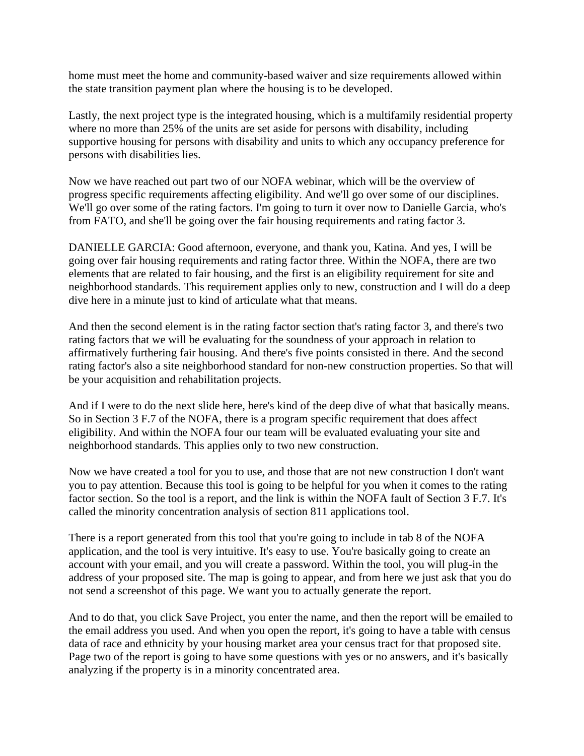home must meet the home and community-based waiver and size requirements allowed within the state transition payment plan where the housing is to be developed.

Lastly, the next project type is the integrated housing, which is a multifamily residential property where no more than 25% of the units are set aside for persons with disability, including supportive housing for persons with disability and units to which any occupancy preference for persons with disabilities lies.

Now we have reached out part two of our NOFA webinar, which will be the overview of progress specific requirements affecting eligibility. And we'll go over some of our disciplines. We'll go over some of the rating factors. I'm going to turn it over now to Danielle Garcia, who's from FATO, and she'll be going over the fair housing requirements and rating factor 3.

DANIELLE GARCIA: Good afternoon, everyone, and thank you, Katina. And yes, I will be going over fair housing requirements and rating factor three. Within the NOFA, there are two elements that are related to fair housing, and the first is an eligibility requirement for site and neighborhood standards. This requirement applies only to new, construction and I will do a deep dive here in a minute just to kind of articulate what that means.

And then the second element is in the rating factor section that's rating factor 3, and there's two rating factors that we will be evaluating for the soundness of your approach in relation to affirmatively furthering fair housing. And there's five points consisted in there. And the second rating factor's also a site neighborhood standard for non-new construction properties. So that will be your acquisition and rehabilitation projects.

And if I were to do the next slide here, here's kind of the deep dive of what that basically means. So in Section 3 F.7 of the NOFA, there is a program specific requirement that does affect eligibility. And within the NOFA four our team will be evaluated evaluating your site and neighborhood standards. This applies only to two new construction.

Now we have created a tool for you to use, and those that are not new construction I don't want you to pay attention. Because this tool is going to be helpful for you when it comes to the rating factor section. So the tool is a report, and the link is within the NOFA fault of Section 3 F.7. It's called the minority concentration analysis of section 811 applications tool.

There is a report generated from this tool that you're going to include in tab 8 of the NOFA application, and the tool is very intuitive. It's easy to use. You're basically going to create an account with your email, and you will create a password. Within the tool, you will plug-in the address of your proposed site. The map is going to appear, and from here we just ask that you do not send a screenshot of this page. We want you to actually generate the report.

And to do that, you click Save Project, you enter the name, and then the report will be emailed to the email address you used. And when you open the report, it's going to have a table with census data of race and ethnicity by your housing market area your census tract for that proposed site. Page two of the report is going to have some questions with yes or no answers, and it's basically analyzing if the property is in a minority concentrated area.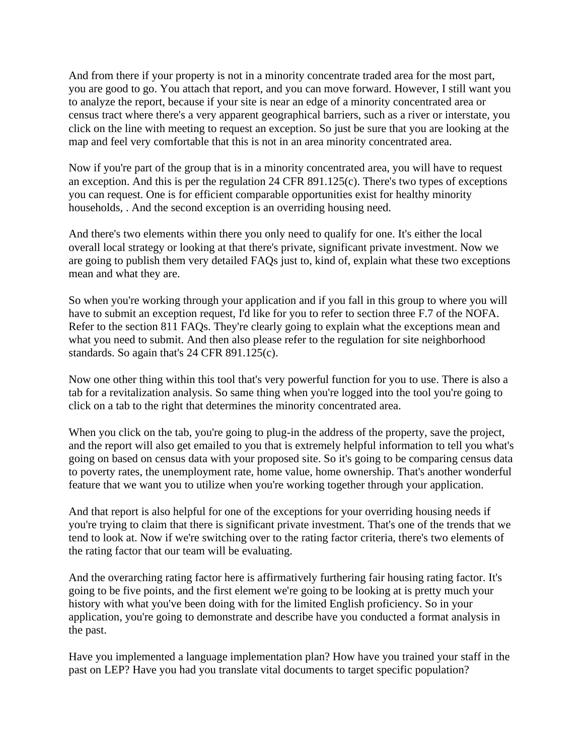And from there if your property is not in a minority concentrate traded area for the most part, you are good to go. You attach that report, and you can move forward. However, I still want you to analyze the report, because if your site is near an edge of a minority concentrated area or census tract where there's a very apparent geographical barriers, such as a river or interstate, you click on the line with meeting to request an exception. So just be sure that you are looking at the map and feel very comfortable that this is not in an area minority concentrated area.

Now if you're part of the group that is in a minority concentrated area, you will have to request an exception. And this is per the regulation 24 CFR 891.125(c). There's two types of exceptions you can request. One is for efficient comparable opportunities exist for healthy minority households, . And the second exception is an overriding housing need.

And there's two elements within there you only need to qualify for one. It's either the local overall local strategy or looking at that there's private, significant private investment. Now we are going to publish them very detailed FAQs just to, kind of, explain what these two exceptions mean and what they are.

So when you're working through your application and if you fall in this group to where you will have to submit an exception request, I'd like for you to refer to section three F.7 of the NOFA. Refer to the section 811 FAQs. They're clearly going to explain what the exceptions mean and what you need to submit. And then also please refer to the regulation for site neighborhood standards. So again that's 24 CFR 891.125(c).

Now one other thing within this tool that's very powerful function for you to use. There is also a tab for a revitalization analysis. So same thing when you're logged into the tool you're going to click on a tab to the right that determines the minority concentrated area.

When you click on the tab, you're going to plug-in the address of the property, save the project, and the report will also get emailed to you that is extremely helpful information to tell you what's going on based on census data with your proposed site. So it's going to be comparing census data to poverty rates, the unemployment rate, home value, home ownership. That's another wonderful feature that we want you to utilize when you're working together through your application.

And that report is also helpful for one of the exceptions for your overriding housing needs if you're trying to claim that there is significant private investment. That's one of the trends that we tend to look at. Now if we're switching over to the rating factor criteria, there's two elements of the rating factor that our team will be evaluating.

And the overarching rating factor here is affirmatively furthering fair housing rating factor. It's going to be five points, and the first element we're going to be looking at is pretty much your history with what you've been doing with for the limited English proficiency. So in your application, you're going to demonstrate and describe have you conducted a format analysis in the past.

Have you implemented a language implementation plan? How have you trained your staff in the past on LEP? Have you had you translate vital documents to target specific population?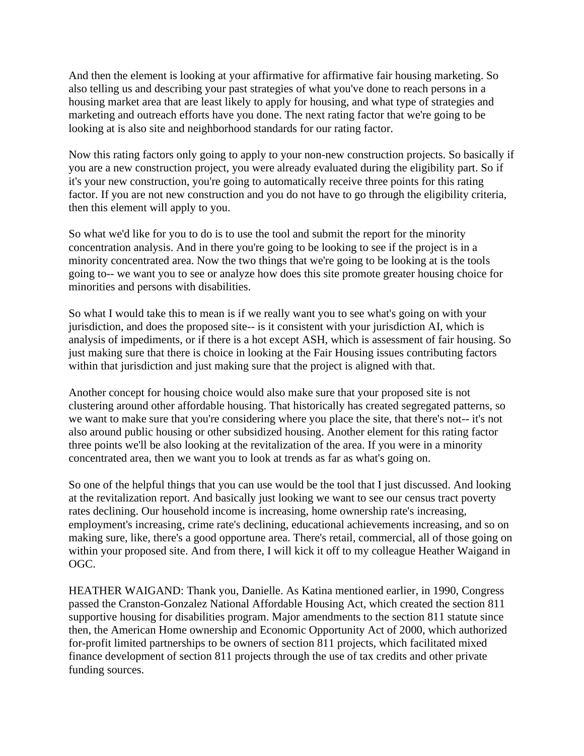And then the element is looking at your affirmative for affirmative fair housing marketing. So also telling us and describing your past strategies of what you've done to reach persons in a housing market area that are least likely to apply for housing, and what type of strategies and marketing and outreach efforts have you done. The next rating factor that we're going to be looking at is also site and neighborhood standards for our rating factor.

Now this rating factors only going to apply to your non-new construction projects. So basically if you are a new construction project, you were already evaluated during the eligibility part. So if it's your new construction, you're going to automatically receive three points for this rating factor. If you are not new construction and you do not have to go through the eligibility criteria, then this element will apply to you.

So what we'd like for you to do is to use the tool and submit the report for the minority concentration analysis. And in there you're going to be looking to see if the project is in a minority concentrated area. Now the two things that we're going to be looking at is the tools going to-- we want you to see or analyze how does this site promote greater housing choice for minorities and persons with disabilities.

So what I would take this to mean is if we really want you to see what's going on with your jurisdiction, and does the proposed site-- is it consistent with your jurisdiction AI, which is analysis of impediments, or if there is a hot except ASH, which is assessment of fair housing. So just making sure that there is choice in looking at the Fair Housing issues contributing factors within that jurisdiction and just making sure that the project is aligned with that.

Another concept for housing choice would also make sure that your proposed site is not clustering around other affordable housing. That historically has created segregated patterns, so we want to make sure that you're considering where you place the site, that there's not-- it's not also around public housing or other subsidized housing. Another element for this rating factor three points we'll be also looking at the revitalization of the area. If you were in a minority concentrated area, then we want you to look at trends as far as what's going on.

So one of the helpful things that you can use would be the tool that I just discussed. And looking at the revitalization report. And basically just looking we want to see our census tract poverty rates declining. Our household income is increasing, home ownership rate's increasing, employment's increasing, crime rate's declining, educational achievements increasing, and so on making sure, like, there's a good opportune area. There's retail, commercial, all of those going on within your proposed site. And from there, I will kick it off to my colleague Heather Waigand in OGC.

HEATHER WAIGAND: Thank you, Danielle. As Katina mentioned earlier, in 1990, Congress passed the Cranston-Gonzalez National Affordable Housing Act, which created the section 811 supportive housing for disabilities program. Major amendments to the section 811 statute since then, the American Home ownership and Economic Opportunity Act of 2000, which authorized for-profit limited partnerships to be owners of section 811 projects, which facilitated mixed finance development of section 811 projects through the use of tax credits and other private funding sources.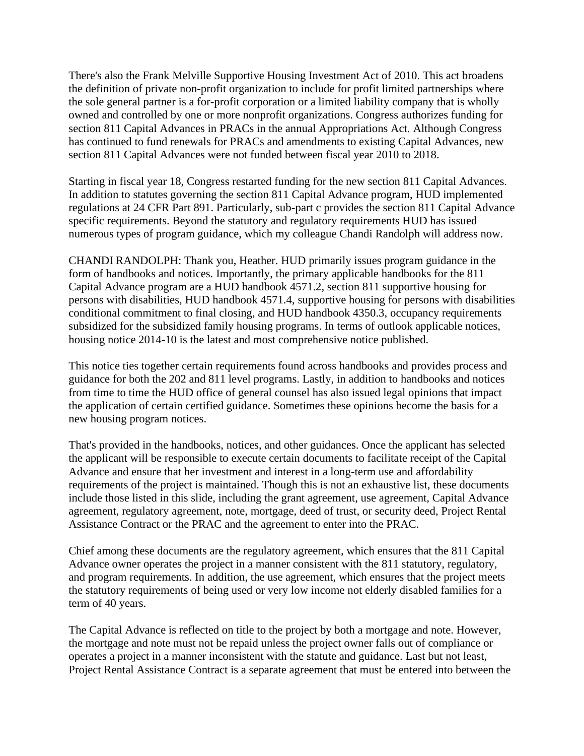There's also the Frank Melville Supportive Housing Investment Act of 2010. This act broadens the definition of private non-profit organization to include for profit limited partnerships where the sole general partner is a for-profit corporation or a limited liability company that is wholly owned and controlled by one or more nonprofit organizations. Congress authorizes funding for section 811 Capital Advances in PRACs in the annual Appropriations Act. Although Congress has continued to fund renewals for PRACs and amendments to existing Capital Advances, new section 811 Capital Advances were not funded between fiscal year 2010 to 2018.

Starting in fiscal year 18, Congress restarted funding for the new section 811 Capital Advances. In addition to statutes governing the section 811 Capital Advance program, HUD implemented regulations at 24 CFR Part 891. Particularly, sub-part c provides the section 811 Capital Advance specific requirements. Beyond the statutory and regulatory requirements HUD has issued numerous types of program guidance, which my colleague Chandi Randolph will address now.

CHANDI RANDOLPH: Thank you, Heather. HUD primarily issues program guidance in the form of handbooks and notices. Importantly, the primary applicable handbooks for the 811 Capital Advance program are a HUD handbook 4571.2, section 811 supportive housing for persons with disabilities, HUD handbook 4571.4, supportive housing for persons with disabilities conditional commitment to final closing, and HUD handbook 4350.3, occupancy requirements subsidized for the subsidized family housing programs. In terms of outlook applicable notices, housing notice 2014-10 is the latest and most comprehensive notice published.

This notice ties together certain requirements found across handbooks and provides process and guidance for both the 202 and 811 level programs. Lastly, in addition to handbooks and notices from time to time the HUD office of general counsel has also issued legal opinions that impact the application of certain certified guidance. Sometimes these opinions become the basis for a new housing program notices.

That's provided in the handbooks, notices, and other guidances. Once the applicant has selected the applicant will be responsible to execute certain documents to facilitate receipt of the Capital Advance and ensure that her investment and interest in a long-term use and affordability requirements of the project is maintained. Though this is not an exhaustive list, these documents include those listed in this slide, including the grant agreement, use agreement, Capital Advance agreement, regulatory agreement, note, mortgage, deed of trust, or security deed, Project Rental Assistance Contract or the PRAC and the agreement to enter into the PRAC.

Chief among these documents are the regulatory agreement, which ensures that the 811 Capital Advance owner operates the project in a manner consistent with the 811 statutory, regulatory, and program requirements. In addition, the use agreement, which ensures that the project meets the statutory requirements of being used or very low income not elderly disabled families for a term of 40 years.

The Capital Advance is reflected on title to the project by both a mortgage and note. However, the mortgage and note must not be repaid unless the project owner falls out of compliance or operates a project in a manner inconsistent with the statute and guidance. Last but not least, Project Rental Assistance Contract is a separate agreement that must be entered into between the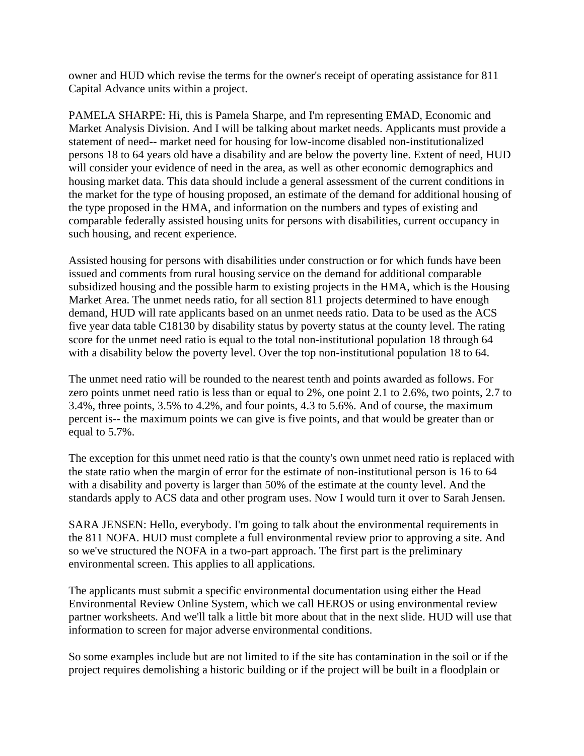owner and HUD which revise the terms for the owner's receipt of operating assistance for 811 Capital Advance units within a project.

PAMELA SHARPE: Hi, this is Pamela Sharpe, and I'm representing EMAD, Economic and Market Analysis Division. And I will be talking about market needs. Applicants must provide a statement of need-- market need for housing for low-income disabled non-institutionalized persons 18 to 64 years old have a disability and are below the poverty line. Extent of need, HUD will consider your evidence of need in the area, as well as other economic demographics and housing market data. This data should include a general assessment of the current conditions in the market for the type of housing proposed, an estimate of the demand for additional housing of the type proposed in the HMA, and information on the numbers and types of existing and comparable federally assisted housing units for persons with disabilities, current occupancy in such housing, and recent experience.

Assisted housing for persons with disabilities under construction or for which funds have been issued and comments from rural housing service on the demand for additional comparable subsidized housing and the possible harm to existing projects in the HMA, which is the Housing Market Area. The unmet needs ratio, for all section 811 projects determined to have enough demand, HUD will rate applicants based on an unmet needs ratio. Data to be used as the ACS five year data table C18130 by disability status by poverty status at the county level. The rating score for the unmet need ratio is equal to the total non-institutional population 18 through 64 with a disability below the poverty level. Over the top non-institutional population 18 to 64.

The unmet need ratio will be rounded to the nearest tenth and points awarded as follows. For zero points unmet need ratio is less than or equal to 2%, one point 2.1 to 2.6%, two points, 2.7 to 3.4%, three points, 3.5% to 4.2%, and four points, 4.3 to 5.6%. And of course, the maximum percent is-- the maximum points we can give is five points, and that would be greater than or equal to 5.7%.

The exception for this unmet need ratio is that the county's own unmet need ratio is replaced with the state ratio when the margin of error for the estimate of non-institutional person is 16 to 64 with a disability and poverty is larger than 50% of the estimate at the county level. And the standards apply to ACS data and other program uses. Now I would turn it over to Sarah Jensen.

SARA JENSEN: Hello, everybody. I'm going to talk about the environmental requirements in the 811 NOFA. HUD must complete a full environmental review prior to approving a site. And so we've structured the NOFA in a two-part approach. The first part is the preliminary environmental screen. This applies to all applications.

The applicants must submit a specific environmental documentation using either the Head Environmental Review Online System, which we call HEROS or using environmental review partner worksheets. And we'll talk a little bit more about that in the next slide. HUD will use that information to screen for major adverse environmental conditions.

So some examples include but are not limited to if the site has contamination in the soil or if the project requires demolishing a historic building or if the project will be built in a floodplain or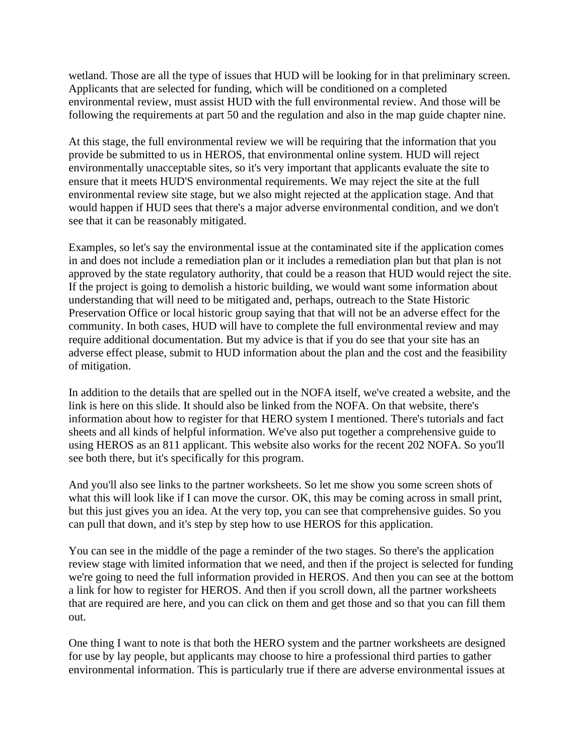wetland. Those are all the type of issues that HUD will be looking for in that preliminary screen. Applicants that are selected for funding, which will be conditioned on a completed environmental review, must assist HUD with the full environmental review. And those will be following the requirements at part 50 and the regulation and also in the map guide chapter nine.

At this stage, the full environmental review we will be requiring that the information that you provide be submitted to us in HEROS, that environmental online system. HUD will reject environmentally unacceptable sites, so it's very important that applicants evaluate the site to ensure that it meets HUD'S environmental requirements. We may reject the site at the full environmental review site stage, but we also might rejected at the application stage. And that would happen if HUD sees that there's a major adverse environmental condition, and we don't see that it can be reasonably mitigated.

Examples, so let's say the environmental issue at the contaminated site if the application comes in and does not include a remediation plan or it includes a remediation plan but that plan is not approved by the state regulatory authority, that could be a reason that HUD would reject the site. If the project is going to demolish a historic building, we would want some information about understanding that will need to be mitigated and, perhaps, outreach to the State Historic Preservation Office or local historic group saying that that will not be an adverse effect for the community. In both cases, HUD will have to complete the full environmental review and may require additional documentation. But my advice is that if you do see that your site has an adverse effect please, submit to HUD information about the plan and the cost and the feasibility of mitigation.

In addition to the details that are spelled out in the NOFA itself, we've created a website, and the link is here on this slide. It should also be linked from the NOFA. On that website, there's information about how to register for that HERO system I mentioned. There's tutorials and fact sheets and all kinds of helpful information. We've also put together a comprehensive guide to using HEROS as an 811 applicant. This website also works for the recent 202 NOFA. So you'll see both there, but it's specifically for this program.

And you'll also see links to the partner worksheets. So let me show you some screen shots of what this will look like if I can move the cursor. OK, this may be coming across in small print, but this just gives you an idea. At the very top, you can see that comprehensive guides. So you can pull that down, and it's step by step how to use HEROS for this application.

You can see in the middle of the page a reminder of the two stages. So there's the application review stage with limited information that we need, and then if the project is selected for funding we're going to need the full information provided in HEROS. And then you can see at the bottom a link for how to register for HEROS. And then if you scroll down, all the partner worksheets that are required are here, and you can click on them and get those and so that you can fill them out.

One thing I want to note is that both the HERO system and the partner worksheets are designed for use by lay people, but applicants may choose to hire a professional third parties to gather environmental information. This is particularly true if there are adverse environmental issues at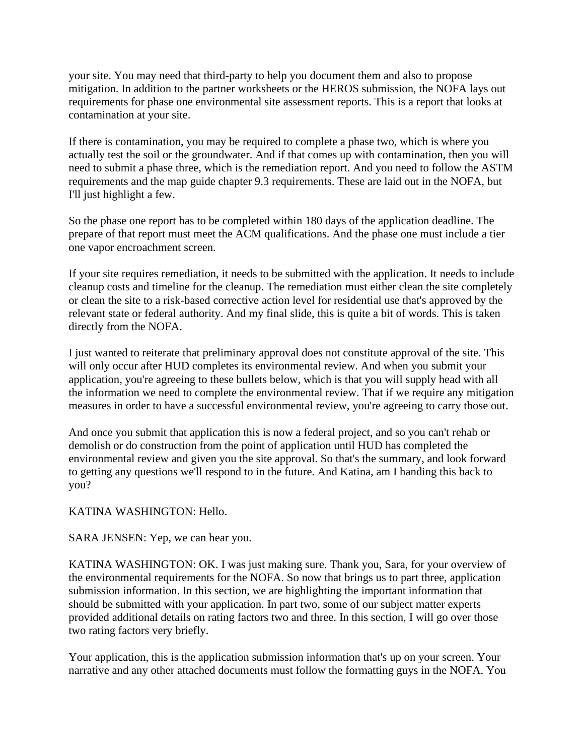your site. You may need that third-party to help you document them and also to propose mitigation. In addition to the partner worksheets or the HEROS submission, the NOFA lays out requirements for phase one environmental site assessment reports. This is a report that looks at contamination at your site.

If there is contamination, you may be required to complete a phase two, which is where you actually test the soil or the groundwater. And if that comes up with contamination, then you will need to submit a phase three, which is the remediation report. And you need to follow the ASTM requirements and the map guide chapter 9.3 requirements. These are laid out in the NOFA, but I'll just highlight a few.

So the phase one report has to be completed within 180 days of the application deadline. The prepare of that report must meet the ACM qualifications. And the phase one must include a tier one vapor encroachment screen.

If your site requires remediation, it needs to be submitted with the application. It needs to include cleanup costs and timeline for the cleanup. The remediation must either clean the site completely or clean the site to a risk-based corrective action level for residential use that's approved by the relevant state or federal authority. And my final slide, this is quite a bit of words. This is taken directly from the NOFA.

I just wanted to reiterate that preliminary approval does not constitute approval of the site. This will only occur after HUD completes its environmental review. And when you submit your application, you're agreeing to these bullets below, which is that you will supply head with all the information we need to complete the environmental review. That if we require any mitigation measures in order to have a successful environmental review, you're agreeing to carry those out.

And once you submit that application this is now a federal project, and so you can't rehab or demolish or do construction from the point of application until HUD has completed the environmental review and given you the site approval. So that's the summary, and look forward to getting any questions we'll respond to in the future. And Katina, am I handing this back to you?

## KATINA WASHINGTON: Hello.

SARA JENSEN: Yep, we can hear you.

KATINA WASHINGTON: OK. I was just making sure. Thank you, Sara, for your overview of the environmental requirements for the NOFA. So now that brings us to part three, application submission information. In this section, we are highlighting the important information that should be submitted with your application. In part two, some of our subject matter experts provided additional details on rating factors two and three. In this section, I will go over those two rating factors very briefly.

Your application, this is the application submission information that's up on your screen. Your narrative and any other attached documents must follow the formatting guys in the NOFA. You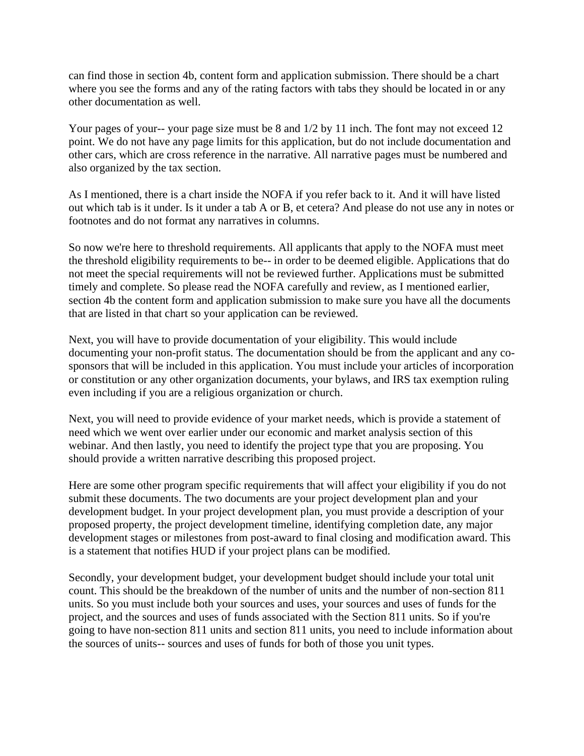can find those in section 4b, content form and application submission. There should be a chart where you see the forms and any of the rating factors with tabs they should be located in or any other documentation as well.

Your pages of your-- your page size must be 8 and  $1/2$  by 11 inch. The font may not exceed 12 point. We do not have any page limits for this application, but do not include documentation and other cars, which are cross reference in the narrative. All narrative pages must be numbered and also organized by the tax section.

As I mentioned, there is a chart inside the NOFA if you refer back to it. And it will have listed out which tab is it under. Is it under a tab A or B, et cetera? And please do not use any in notes or footnotes and do not format any narratives in columns.

So now we're here to threshold requirements. All applicants that apply to the NOFA must meet the threshold eligibility requirements to be-- in order to be deemed eligible. Applications that do not meet the special requirements will not be reviewed further. Applications must be submitted timely and complete. So please read the NOFA carefully and review, as I mentioned earlier, section 4b the content form and application submission to make sure you have all the documents that are listed in that chart so your application can be reviewed.

Next, you will have to provide documentation of your eligibility. This would include documenting your non-profit status. The documentation should be from the applicant and any cosponsors that will be included in this application. You must include your articles of incorporation or constitution or any other organization documents, your bylaws, and IRS tax exemption ruling even including if you are a religious organization or church.

Next, you will need to provide evidence of your market needs, which is provide a statement of need which we went over earlier under our economic and market analysis section of this webinar. And then lastly, you need to identify the project type that you are proposing. You should provide a written narrative describing this proposed project.

Here are some other program specific requirements that will affect your eligibility if you do not submit these documents. The two documents are your project development plan and your development budget. In your project development plan, you must provide a description of your proposed property, the project development timeline, identifying completion date, any major development stages or milestones from post-award to final closing and modification award. This is a statement that notifies HUD if your project plans can be modified.

Secondly, your development budget, your development budget should include your total unit count. This should be the breakdown of the number of units and the number of non-section 811 units. So you must include both your sources and uses, your sources and uses of funds for the project, and the sources and uses of funds associated with the Section 811 units. So if you're going to have non-section 811 units and section 811 units, you need to include information about the sources of units-- sources and uses of funds for both of those you unit types.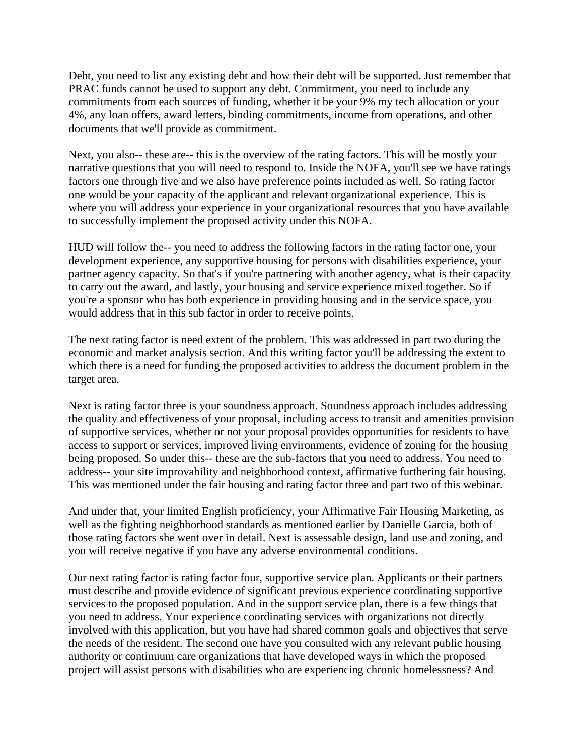Debt, you need to list any existing debt and how their debt will be supported. Just remember that PRAC funds cannot be used to support any debt. Commitment, you need to include any commitments from each sources of funding, whether it be your 9% my tech allocation or your 4%, any loan offers, award letters, binding commitments, income from operations, and other documents that we'll provide as commitment.

Next, you also-- these are-- this is the overview of the rating factors. This will be mostly your narrative questions that you will need to respond to. Inside the NOFA, you'll see we have ratings factors one through five and we also have preference points included as well. So rating factor one would be your capacity of the applicant and relevant organizational experience. This is where you will address your experience in your organizational resources that you have available to successfully implement the proposed activity under this NOFA.

HUD will follow the-- you need to address the following factors in the rating factor one, your development experience, any supportive housing for persons with disabilities experience, your partner agency capacity. So that's if you're partnering with another agency, what is their capacity to carry out the award, and lastly, your housing and service experience mixed together. So if you're a sponsor who has both experience in providing housing and in the service space, you would address that in this sub factor in order to receive points.

The next rating factor is need extent of the problem. This was addressed in part two during the economic and market analysis section. And this writing factor you'll be addressing the extent to which there is a need for funding the proposed activities to address the document problem in the target area.

Next is rating factor three is your soundness approach. Soundness approach includes addressing the quality and effectiveness of your proposal, including access to transit and amenities provision of supportive services, whether or not your proposal provides opportunities for residents to have access to support or services, improved living environments, evidence of zoning for the housing being proposed. So under this-- these are the sub-factors that you need to address. You need to address-- your site improvability and neighborhood context, affirmative furthering fair housing. This was mentioned under the fair housing and rating factor three and part two of this webinar.

And under that, your limited English proficiency, your Affirmative Fair Housing Marketing, as well as the fighting neighborhood standards as mentioned earlier by Danielle Garcia, both of those rating factors she went over in detail. Next is assessable design, land use and zoning, and you will receive negative if you have any adverse environmental conditions.

Our next rating factor is rating factor four, supportive service plan. Applicants or their partners must describe and provide evidence of significant previous experience coordinating supportive services to the proposed population. And in the support service plan, there is a few things that you need to address. Your experience coordinating services with organizations not directly involved with this application, but you have had shared common goals and objectives that serve the needs of the resident. The second one have you consulted with any relevant public housing authority or continuum care organizations that have developed ways in which the proposed project will assist persons with disabilities who are experiencing chronic homelessness? And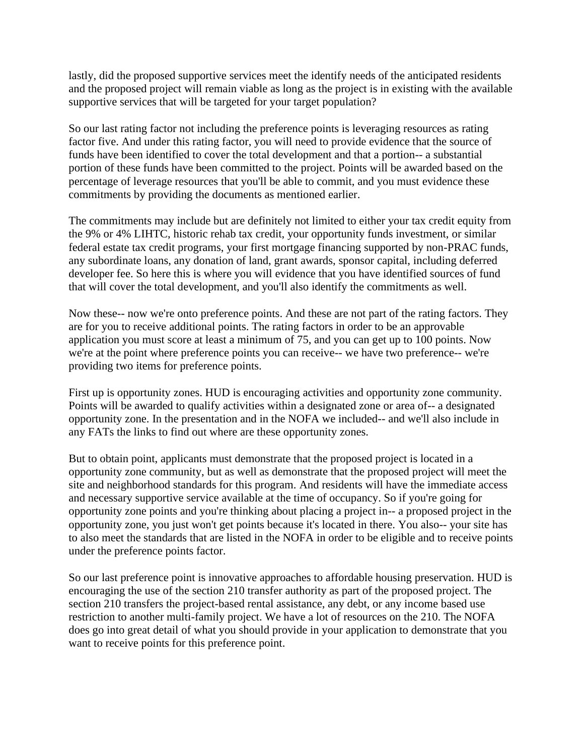lastly, did the proposed supportive services meet the identify needs of the anticipated residents and the proposed project will remain viable as long as the project is in existing with the available supportive services that will be targeted for your target population?

So our last rating factor not including the preference points is leveraging resources as rating factor five. And under this rating factor, you will need to provide evidence that the source of funds have been identified to cover the total development and that a portion-- a substantial portion of these funds have been committed to the project. Points will be awarded based on the percentage of leverage resources that you'll be able to commit, and you must evidence these commitments by providing the documents as mentioned earlier.

The commitments may include but are definitely not limited to either your tax credit equity from the 9% or 4% LIHTC, historic rehab tax credit, your opportunity funds investment, or similar federal estate tax credit programs, your first mortgage financing supported by non-PRAC funds, any subordinate loans, any donation of land, grant awards, sponsor capital, including deferred developer fee. So here this is where you will evidence that you have identified sources of fund that will cover the total development, and you'll also identify the commitments as well.

Now these-- now we're onto preference points. And these are not part of the rating factors. They are for you to receive additional points. The rating factors in order to be an approvable application you must score at least a minimum of 75, and you can get up to 100 points. Now we're at the point where preference points you can receive-- we have two preference-- we're providing two items for preference points.

First up is opportunity zones. HUD is encouraging activities and opportunity zone community. Points will be awarded to qualify activities within a designated zone or area of-- a designated opportunity zone. In the presentation and in the NOFA we included-- and we'll also include in any FATs the links to find out where are these opportunity zones.

But to obtain point, applicants must demonstrate that the proposed project is located in a opportunity zone community, but as well as demonstrate that the proposed project will meet the site and neighborhood standards for this program. And residents will have the immediate access and necessary supportive service available at the time of occupancy. So if you're going for opportunity zone points and you're thinking about placing a project in-- a proposed project in the opportunity zone, you just won't get points because it's located in there. You also-- your site has to also meet the standards that are listed in the NOFA in order to be eligible and to receive points under the preference points factor.

So our last preference point is innovative approaches to affordable housing preservation. HUD is encouraging the use of the section 210 transfer authority as part of the proposed project. The section 210 transfers the project-based rental assistance, any debt, or any income based use restriction to another multi-family project. We have a lot of resources on the 210. The NOFA does go into great detail of what you should provide in your application to demonstrate that you want to receive points for this preference point.